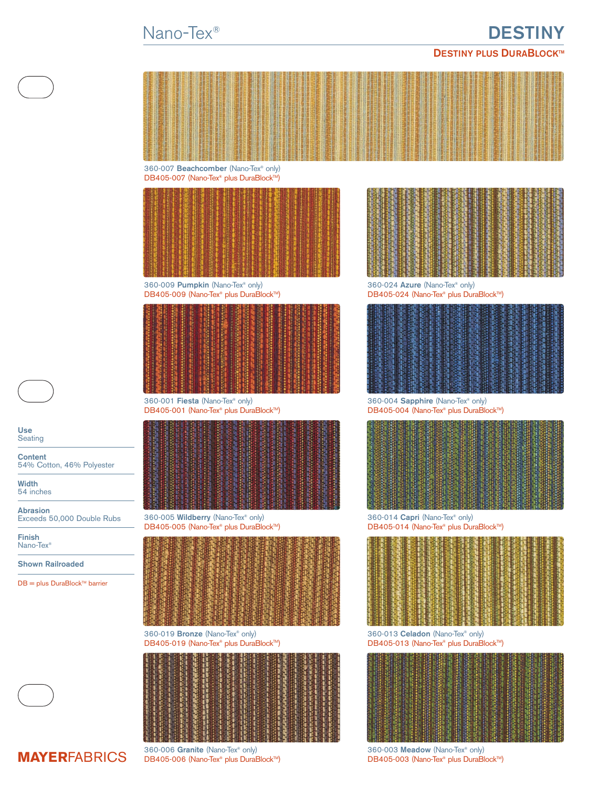# Nano-Tex® **DESTINY**

## **DESTINY PLUS DURABLOCK™**



360-007 **Beachcomber** (Nano-Tex® only) DB405-007 (Nano-Tex® plus DuraBlock™)



360-009 **Pumpkin** (Nano-Tex® only) 360-024 **Azure** (Nano-Tex® only) 360-024 **Azure** (Nano-Tex® only) 360-024 **DB405-024** (Nano-Tex® plus DuraBlock™)



360-001 **Fiesta** (Nano-Tex® only) 360-004 **Sapphire** (Nano-Tex® only)



360-005 **Wildberry** (Nano-Tex® only) 360-014 **Capri** (Nano-Tex® only)

|  |  |  | <b>Grund</b> |  |  |  | 非聯盟                                       |  |
|--|--|--|--------------|--|--|--|-------------------------------------------|--|
|  |  |  |              |  |  |  |                                           |  |
|  |  |  |              |  |  |  |                                           |  |
|  |  |  |              |  |  |  |                                           |  |
|  |  |  |              |  |  |  |                                           |  |
|  |  |  |              |  |  |  |                                           |  |
|  |  |  |              |  |  |  |                                           |  |
|  |  |  |              |  |  |  |                                           |  |
|  |  |  |              |  |  |  |                                           |  |
|  |  |  |              |  |  |  | <b>LAS A CONFERENCE AND A DESIGNATION</b> |  |

360-019 **Bronze** (Nano-Tex® only) 360-013 **Celadon** (Nano-Tex® only)





DB405-024 (Nano-Tex® plus DuraBlock™)



DB405-004 (Nano-Tex® plus DuraBlock™)



DB405-005 (Nano-Tex® plus DuraBlock™) DB405-014 (Nano-Tex® plus DuraBlock™)



DB405-019 (Nano-Tex® plus DuraBlock™) DB405-013 (Nano-Tex® plus DuraBlock™)



360-006 **Granite** (Nano-Tex® only) 360-003 **Meadow** (Nano-Tex® only)<br> **DB405-006 (Nano-Tex® plus DuraBlock™)** 380-003 **(Nano-Tex® plus DuraBlock™**)



**Use Seating** 

**Content**

54% Cotton, 46% Polyester

**Width** 54 inches

**Abrasion** Exceeds 50,000 Double Rubs

**Finish** Nano-Tex®

**Shown Railroaded**

 $DB = plus DuraBlock™ barrier$ 



**MAYERFABRICS** DB405-006 (Nano-Tex® plus DuraBlock™)